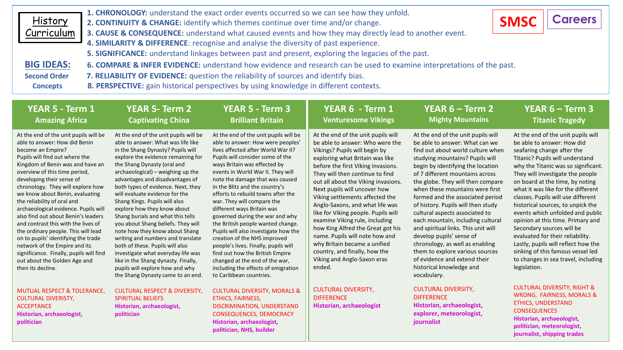| History<br>Curriculum | 1. CHRONOLOGY: understand the exact order events occurred so we can see how they unfold.<br>2. CONTINUITY & CHANGE: identify which themes continue over time and/or change.<br>3. CAUSE & CONSEQUENCE: understand what caused events and how they may directly lead to another event. | <b>SMSC</b> | <b>Careers</b> |  |  |
|-----------------------|---------------------------------------------------------------------------------------------------------------------------------------------------------------------------------------------------------------------------------------------------------------------------------------|-------------|----------------|--|--|
|                       | 4. SIMILARITY & DIFFERENCE: recognise and analyse the diversity of past experience.                                                                                                                                                                                                   |             |                |  |  |
|                       | 5. SIGNIFICANCE: understand linkages between past and present, exploring the legacies of the past.                                                                                                                                                                                    |             |                |  |  |
| <b>BIG IDEAS:</b>     | 6. COMPARE & INFER EVIDENCE: understand how evidence and research can be used to examine interpretations of the past.                                                                                                                                                                 |             |                |  |  |
| <b>Second Order</b>   | 7. RELIABILITY OF EVIDENCE: question the reliability of sources and identify bias.                                                                                                                                                                                                    |             |                |  |  |
| <b>Concepts</b>       | 8. PERSPECTIVE: gain historical perspectives by using knowledge in different contexts.                                                                                                                                                                                                |             |                |  |  |

| YEAR 5 - Term 1<br><b>Amazing Africa</b>                                                                                                                                                                                                                                                                                                                                                                                                                                                                                                                                                                                                                                    | <b>YEAR 5- Term 2</b><br><b>Captivating China</b>                                                                                                                                                                                                                                                                                                                                                                                                                                                                                                                                                                                                                                                                                               | YEAR 5 - Term 3<br><b>Brilliant Britain</b>                                                                                                                                                                                                                                                                                                                                                                                                                                                                                                                                                                                                                                                                                     | YEAR 6 - Term 1<br><b>Venturesome Vikings</b>                                                                                                                                                                                                                                                                                                                                                                                                                                                                                                                                                                             | YEAR 6 – Term 2<br><b>Mighty Mountains</b>                                                                                                                                                                                                                                                                                                                                                                                                                                                                                                                                                                                                                        | <b>YEAR 6 – Term 3</b><br><b>Titanic Tragedy</b>                                                                                                                                                                                                                                                                                                                                                                                                                                                                                                                                                                                              |
|-----------------------------------------------------------------------------------------------------------------------------------------------------------------------------------------------------------------------------------------------------------------------------------------------------------------------------------------------------------------------------------------------------------------------------------------------------------------------------------------------------------------------------------------------------------------------------------------------------------------------------------------------------------------------------|-------------------------------------------------------------------------------------------------------------------------------------------------------------------------------------------------------------------------------------------------------------------------------------------------------------------------------------------------------------------------------------------------------------------------------------------------------------------------------------------------------------------------------------------------------------------------------------------------------------------------------------------------------------------------------------------------------------------------------------------------|---------------------------------------------------------------------------------------------------------------------------------------------------------------------------------------------------------------------------------------------------------------------------------------------------------------------------------------------------------------------------------------------------------------------------------------------------------------------------------------------------------------------------------------------------------------------------------------------------------------------------------------------------------------------------------------------------------------------------------|---------------------------------------------------------------------------------------------------------------------------------------------------------------------------------------------------------------------------------------------------------------------------------------------------------------------------------------------------------------------------------------------------------------------------------------------------------------------------------------------------------------------------------------------------------------------------------------------------------------------------|-------------------------------------------------------------------------------------------------------------------------------------------------------------------------------------------------------------------------------------------------------------------------------------------------------------------------------------------------------------------------------------------------------------------------------------------------------------------------------------------------------------------------------------------------------------------------------------------------------------------------------------------------------------------|-----------------------------------------------------------------------------------------------------------------------------------------------------------------------------------------------------------------------------------------------------------------------------------------------------------------------------------------------------------------------------------------------------------------------------------------------------------------------------------------------------------------------------------------------------------------------------------------------------------------------------------------------|
| At the end of the unit pupils will be<br>able to answer: How did Benin<br>become an Empire?<br>Pupils will find out where the<br>Kingdom of Benin was and have an<br>overview of this time period,<br>developing their sense of<br>chronology. They will explore how<br>we know about Benin, evaluating<br>the reliability of oral and<br>archaeological evidence. Pupils will<br>also find out about Benin's leaders<br>and contrast this with the lives of<br>the ordinary people. This will lead<br>on to pupils' identifying the trade<br>network of the Empire and its<br>significance. Finally, pupils will find<br>out about the Golden Age and<br>then its decline. | At the end of the unit pupils will be<br>able to answer: What was life like<br>in the Shang Dynasty? Pupils will<br>explore the evidence remaining for<br>the Shang Dynasty (oral and<br>archaeological) - weighing up the<br>advantages and disadvantages of<br>both types of evidence. Next, they<br>will evaluate evidence for the<br>Shang Kings. Pupils will also<br>explore how they know about<br>Shang burials and what this tells<br>you about Shang beliefs. They will<br>note how they know about Shang<br>writing and numbers and translate<br>both of these. Pupils will also<br>investigate what everyday life was<br>like in the Shang dynasty. Finally,<br>pupils will explore how and why<br>the Shang Dynasty came to an end. | At the end of the unit pupils will be<br>able to answer: How were peoples'<br>lives affected after World War II?<br>Pupils will consider some of the<br>ways Britain was effected by<br>events in World War II. They will<br>note the damage that was caused<br>in the Blitz and the country's<br>efforts to rebuild towns after the<br>war. They will compare the<br>different ways Britain was<br>governed during the war and why<br>the British people wanted change.<br>Pupils will also investigate how the<br>creation of the NHS improved<br>people's lives. Finally, pupils will<br>find out how the British Empire<br>changed at the end of the war,<br>including the effects of emigration<br>to Caribbean countries. | At the end of the unit pupils will<br>be able to answer: Who were the<br>Vikings? Pupils will begin by<br>exploring what Britain was like<br>before the first Viking invasions.<br>They will then continue to find<br>out all about the Viking invasions.<br>Next pupils will uncover how<br>Viking settlements affected the<br>Anglo-Saxons, and what life was<br>like for Viking people. Pupils will<br>examine Viking rule, including<br>how King Alfred the Great got his<br>name. Pupils will note how and<br>why Britain became a unified<br>country, and finally, how the<br>Viking and Anglo-Saxon eras<br>ended. | At the end of the unit pupils will<br>be able to answer: What can we<br>find out about world culture when<br>studying mountains? Pupils will<br>begin by identifying the location<br>of 7 different mountains across<br>the globe. They will then compare<br>when these mountains were first<br>formed and the associated period<br>of history. Pupils will then study<br>cultural aspects associated to<br>each mountain, including cultural<br>and spiritual links. This unit will<br>develop pupils' sense of<br>chronology, as well as enabling<br>them to explore various sources<br>of evidence and extend their<br>historical knowledge and<br>vocabulary. | At the end of the unit pupils will<br>be able to answer: How did<br>seafaring change after the<br>Titanic? Pupils will understand<br>why the Titanic was so significant.<br>They will investigate the people<br>on board at the time, by noting<br>what it was like for the different<br>classes. Pupils will use different<br>historical sources, to unpick the<br>events which unfolded and public<br>opinion at this time. Primary and<br>Secondary sources will be<br>evaluated for their reliability.<br>Lastly, pupils will reflect how the<br>sinking of this famous vessel led<br>to changes in sea travel, including<br>legislation. |
| <b>MUTUAL RESPECT &amp; TOLERANCE,</b><br><b>CULTURAL DIVERISTY,</b><br><b>ACCEPTANCE</b><br>Historian, archaeologist,<br>politician                                                                                                                                                                                                                                                                                                                                                                                                                                                                                                                                        | <b>CULTURAL RESPECT &amp; DIVERSITY,</b><br><b>SPIRITUAL BELIEFS</b><br>Historian, archaeologist,<br>politician                                                                                                                                                                                                                                                                                                                                                                                                                                                                                                                                                                                                                                 | <b>CULTURAL DIVERSITY, MORALS &amp;</b><br>ETHICS, FAIRNESS,<br>DISCRIMINATION, UNDERSTAND<br><b>CONSEQUENCES, DEMOCRACY</b><br>Historian, archaeologist,<br>nolitician NHS huilder                                                                                                                                                                                                                                                                                                                                                                                                                                                                                                                                             | <b>CULTURAL DIVERSITY,</b><br><b>DIFFERENCE</b><br>Historian, archaeologist                                                                                                                                                                                                                                                                                                                                                                                                                                                                                                                                               | <b>CULTURAL DIVERSITY,</b><br><b>DIFFERENCE</b><br>Historian, archaeologist,<br>explorer, meteorologist,<br>journalist                                                                                                                                                                                                                                                                                                                                                                                                                                                                                                                                            | <b>CULTURAL DIVERSITY, RIGHT &amp;</b><br><b>WRONG, FAIRNESS, MORALS &amp;</b><br><b>ETHICS, UNDERSTAND</b><br><b>CONSEQUENCES</b><br>Historian, archaeologist,<br>politician, meteorologist,                                                                                                                                                                                                                                                                                                                                                                                                                                                 |

**journalist, shipping trades**

**politician, NHS, builder**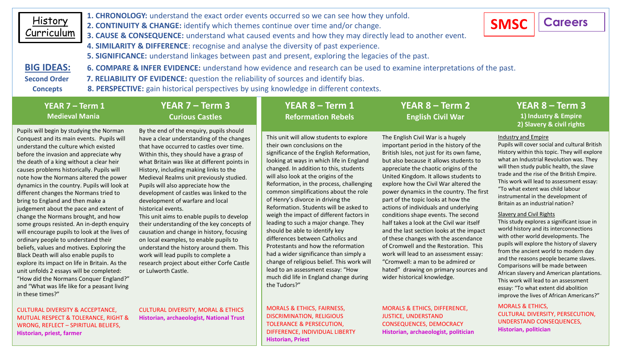| 1. CHRONOLOGY: understand the exact order events occurred so we can see how they unfold.<br><b>History</b><br><b>Careers</b><br><b>SMSC</b><br>2. CONTINUITY & CHANGE: identify which themes continue over time and/or change.<br>Curriculum<br>3. CAUSE & CONSEQUENCE: understand what caused events and how they may directly lead to another event.<br>4. SIMILARITY & DIFFERENCE: recognise and analyse the diversity of past experience.<br>5. SIGNIFICANCE: understand linkages between past and present, exploring the legacies of the past.<br><b>BIG IDEAS:</b><br>6. COMPARE & INFER EVIDENCE: understand how evidence and research can be used to examine interpretations of the past.<br>7. RELIABILITY OF EVIDENCE: question the reliability of sources and identify bias.<br><b>Second Order</b><br>8. PERSPECTIVE: gain historical perspectives by using knowledge in different contexts.<br><b>Concepts</b>                                       |  |                                                                                                                                                                                                                                                                                                                                                                                                                                                                                                                                                                                                                                                                                                                                                                                                             |                                                                                                                                                                                                                                                                                                                                                                                                                                                                                                                                                                                                                                                                                                                                                                                                                 |                                                                                                                                                                                                                                                                                                                                                                                                                                                                                                                                                                                                                                                                                                                                                                                                  |                                                                                                                                                                                                                                                                                                                                                                                                                                                                                                                                                                                                                                                                                                                                                                                                                                                                                                                                        |  |  |  |  |  |
|-------------------------------------------------------------------------------------------------------------------------------------------------------------------------------------------------------------------------------------------------------------------------------------------------------------------------------------------------------------------------------------------------------------------------------------------------------------------------------------------------------------------------------------------------------------------------------------------------------------------------------------------------------------------------------------------------------------------------------------------------------------------------------------------------------------------------------------------------------------------------------------------------------------------------------------------------------------------|--|-------------------------------------------------------------------------------------------------------------------------------------------------------------------------------------------------------------------------------------------------------------------------------------------------------------------------------------------------------------------------------------------------------------------------------------------------------------------------------------------------------------------------------------------------------------------------------------------------------------------------------------------------------------------------------------------------------------------------------------------------------------------------------------------------------------|-----------------------------------------------------------------------------------------------------------------------------------------------------------------------------------------------------------------------------------------------------------------------------------------------------------------------------------------------------------------------------------------------------------------------------------------------------------------------------------------------------------------------------------------------------------------------------------------------------------------------------------------------------------------------------------------------------------------------------------------------------------------------------------------------------------------|--------------------------------------------------------------------------------------------------------------------------------------------------------------------------------------------------------------------------------------------------------------------------------------------------------------------------------------------------------------------------------------------------------------------------------------------------------------------------------------------------------------------------------------------------------------------------------------------------------------------------------------------------------------------------------------------------------------------------------------------------------------------------------------------------|----------------------------------------------------------------------------------------------------------------------------------------------------------------------------------------------------------------------------------------------------------------------------------------------------------------------------------------------------------------------------------------------------------------------------------------------------------------------------------------------------------------------------------------------------------------------------------------------------------------------------------------------------------------------------------------------------------------------------------------------------------------------------------------------------------------------------------------------------------------------------------------------------------------------------------------|--|--|--|--|--|
| YEAR 7 - Term 1<br><b>Medieval Mania</b>                                                                                                                                                                                                                                                                                                                                                                                                                                                                                                                                                                                                                                                                                                                                                                                                                                                                                                                          |  | YEAR 7 - Term 3<br><b>Curious Castles</b>                                                                                                                                                                                                                                                                                                                                                                                                                                                                                                                                                                                                                                                                                                                                                                   | YEAR 8 - Term 1<br><b>Reformation Rebels</b>                                                                                                                                                                                                                                                                                                                                                                                                                                                                                                                                                                                                                                                                                                                                                                    | YEAR 8 - Term 2<br><b>English Civil War</b>                                                                                                                                                                                                                                                                                                                                                                                                                                                                                                                                                                                                                                                                                                                                                      | <b>YEAR 8 - Term 3</b><br>1) Industry & Empire<br>2) Slavery & civil rights                                                                                                                                                                                                                                                                                                                                                                                                                                                                                                                                                                                                                                                                                                                                                                                                                                                            |  |  |  |  |  |
| Pupils will begin by studying the Norman<br>Conquest and its main events. Pupils will<br>understand the culture which existed<br>before the invasion and appreciate why<br>the death of a king without a clear heir<br>causes problems historically. Pupils will<br>note how the Normans altered the power<br>dynamics in the country. Pupils will look at<br>different changes the Normans tried to<br>bring to England and then make a<br>judgement about the pace and extent of<br>change the Normans brought, and how<br>some groups resisted. An in-depth enquiry<br>will encourage pupils to look at the lives of<br>ordinary people to understand their<br>beliefs, values and motives. Exploring the<br>Black Death will also enable pupils to<br>explore its impact on life in Britain. As the<br>unit unfolds 2 essays will be completed:<br>"How did the Normans Conquer England?"<br>and "What was life like for a peasant living<br>in these times?" |  | By the end of the enquiry, pupils should<br>have a clear understanding of the changes<br>that have occurred to castles over time.<br>Within this, they should have a grasp of<br>what Britain was like at different points in<br>History, including making links to the<br>Medieval Realms unit previously studied.<br>Pupils will also appreciate how the<br>development of castles was linked to the<br>development of warfare and local<br>historical events.<br>This unit aims to enable pupils to develop<br>their understanding of the key concepts of<br>causation and change in history, focusing<br>on local examples, to enable pupils to<br>understand the history around them. This<br>work will lead pupils to complete a<br>research project about either Corfe Castle<br>or Lulworth Castle. | This unit will allow students to explore<br>their own conclusions on the<br>significance of the English Reformation,<br>looking at ways in which life in England<br>changed. In addition to this, students<br>will also look at the origins of the<br>Reformation, in the process, challenging<br>common simplifications about the role<br>of Henry's divorce in driving the<br>Reformation. Students will be asked to<br>weigh the impact of different factors in<br>leading to such a major change. They<br>should be able to identify key<br>differences between Catholics and<br>Protestants and how the reformation<br>had a wider significance than simply a<br>change of religious belief. This work will<br>lead to an assessment essay: "How<br>much did life in England change during<br>the Tudors?" | The English Civil War is a hugely<br>important period in the history of the<br>British Isles, not just for its own fame,<br>but also because it allows students to<br>appreciate the chaotic origins of the<br>United Kingdom. It allows students to<br>explore how the Civil War altered the<br>power dynamics in the country. The first<br>part of the topic looks at how the<br>actions of individuals and underlying<br>conditions shape events. The second<br>half takes a look at the Civil war itself<br>and the last section looks at the impact<br>of these changes with the ascendance<br>of Cromwell and the Restoration. This<br>work will lead to an assessment essay:<br>"Cromwell: a man to be admired or<br>hated" drawing on primary sources and<br>wider historical knowledge. | <b>Industry and Empire</b><br>Pupils will cover social and cultural British<br>History within this topic. They will explore<br>what an Industrial Revolution was. They<br>will then study public health, the slave<br>trade and the rise of the British Empire.<br>This work will lead to assessment essay:<br>"To what extent was child labour<br>instrumental in the development of<br>Britain as an industrial nation?<br><b>Slavery and Civil Rights</b><br>This study explores a significant issue in<br>world history and its interconnections<br>with other world developments. The<br>pupils will explore the history of slavery<br>from the ancient world to modern day<br>and the reasons people became slaves.<br>Comparisons will be made between<br>African slavery and American plantations.<br>This work will lead to an assessment<br>essay: "To what extent did abolition<br>improve the lives of African Americans?" |  |  |  |  |  |

CULTURAL DIVERSITY & ACCEPTANCE, MUTUAL RESPECT & TOLERANCE, RIGHT & WRONG, REFLECT – SPIRITUAL BELIEFS, **Historian, priest, farmer**

CULTURAL DIVERSITY, MORAL & ETHICS **Historian, archaeologist, National Trust**

MORALS & ETHICS, FAIRNESS, DISCRIMINATION, RELIGIOUS TOLERANCE & PERSECUTION, DIFFERENCE, INDIVIDUAL LIBERTY **Historian, Priest**

MORALS & ETHICS, DIFFERENCE, JUSTICE, UNDERSTAND CONSEQUENCES, DEMOCRACY **Historian, archaeologist, politician** MORALS & ETHICS,

**Historian, politician**

CULTURAL DIVERSITY, PERSECUTION, UNDERSTAND CONSEQUENCES,